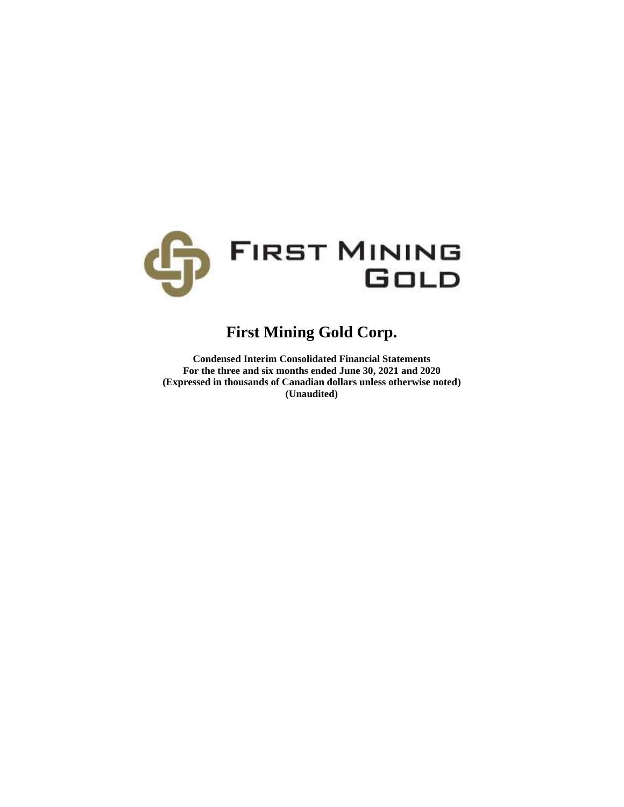

# **First Mining Gold Corp.**

**Condensed Interim Consolidated Financial Statements For the three and six months ended June 30, 2021 and 2020 (Expressed in thousands of Canadian dollars unless otherwise noted) (Unaudited)**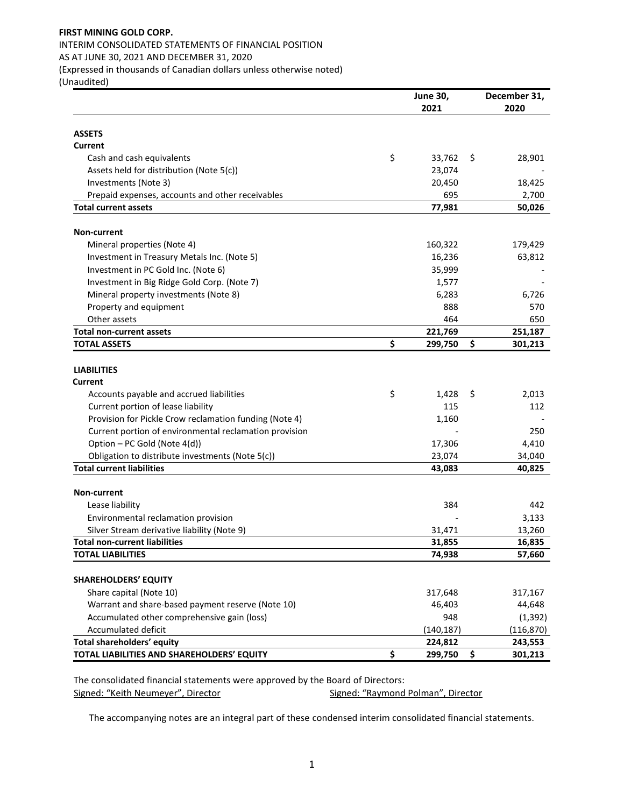# **FIRST MINING GOLD CORP.**  INTERIM CONSOLIDATED STATEMENTS OF FINANCIAL POSITION

AS AT JUNE 30, 2021 AND DECEMBER 31, 2020

(Expressed in thousands of Canadian dollars unless otherwise noted)

(Unaudited)

|                                                        | <b>June 30,</b> | December 31,  |  |  |
|--------------------------------------------------------|-----------------|---------------|--|--|
|                                                        | 2021            | 2020          |  |  |
| <b>ASSETS</b>                                          |                 |               |  |  |
| Current                                                |                 |               |  |  |
| Cash and cash equivalents                              | \$<br>33,762    | \$<br>28,901  |  |  |
| Assets held for distribution (Note 5(c))               | 23,074          |               |  |  |
| Investments (Note 3)                                   | 20,450          | 18,425        |  |  |
| Prepaid expenses, accounts and other receivables       | 695             | 2,700         |  |  |
| <b>Total current assets</b>                            | 77,981          | 50,026        |  |  |
|                                                        |                 |               |  |  |
| <b>Non-current</b>                                     |                 |               |  |  |
| Mineral properties (Note 4)                            | 160,322         | 179,429       |  |  |
| Investment in Treasury Metals Inc. (Note 5)            | 16,236          | 63,812        |  |  |
| Investment in PC Gold Inc. (Note 6)                    | 35,999          |               |  |  |
| Investment in Big Ridge Gold Corp. (Note 7)            | 1,577           |               |  |  |
| Mineral property investments (Note 8)                  | 6,283           | 6,726         |  |  |
| Property and equipment                                 | 888             | 570           |  |  |
| Other assets                                           | 464             | 650           |  |  |
| <b>Total non-current assets</b>                        | 221,769         | 251,187       |  |  |
| <b>TOTAL ASSETS</b>                                    | \$<br>299,750   | \$<br>301,213 |  |  |
|                                                        |                 |               |  |  |
| <b>LIABILITIES</b>                                     |                 |               |  |  |
| Current                                                |                 |               |  |  |
| Accounts payable and accrued liabilities               | \$<br>1,428     | \$<br>2,013   |  |  |
| Current portion of lease liability                     | 115             | 112           |  |  |
| Provision for Pickle Crow reclamation funding (Note 4) | 1,160           |               |  |  |
| Current portion of environmental reclamation provision |                 | 250           |  |  |
| Option - PC Gold (Note 4(d))                           | 17,306          | 4,410         |  |  |
| Obligation to distribute investments (Note 5(c))       | 23,074          | 34,040        |  |  |
| <b>Total current liabilities</b>                       | 43,083          | 40,825        |  |  |
|                                                        |                 |               |  |  |
| <b>Non-current</b>                                     |                 |               |  |  |
| Lease liability                                        | 384             | 442           |  |  |
| Environmental reclamation provision                    |                 | 3,133         |  |  |
| Silver Stream derivative liability (Note 9)            | 31,471          | 13,260        |  |  |
| <b>Total non-current liabilities</b>                   | 31,855          | 16,835        |  |  |
| <b>TOTAL LIABILITIES</b>                               | 74,938          | 57,660        |  |  |
|                                                        |                 |               |  |  |
| <b>SHAREHOLDERS' EQUITY</b>                            |                 |               |  |  |
| Share capital (Note 10)                                | 317,648         | 317,167       |  |  |
| Warrant and share-based payment reserve (Note 10)      | 46,403          | 44,648        |  |  |
| Accumulated other comprehensive gain (loss)            | 948             | (1, 392)      |  |  |
| Accumulated deficit                                    | (140, 187)      | (116, 870)    |  |  |
| Total shareholders' equity                             | 224,812         | 243,553       |  |  |
| TOTAL LIABILITIES AND SHAREHOLDERS' EQUITY             | \$<br>299,750   | \$<br>301,213 |  |  |

The consolidated financial statements were approved by the Board of Directors:<br>Signed: "Keith Neumeyer", Director Signed: "Raymond Polman", Director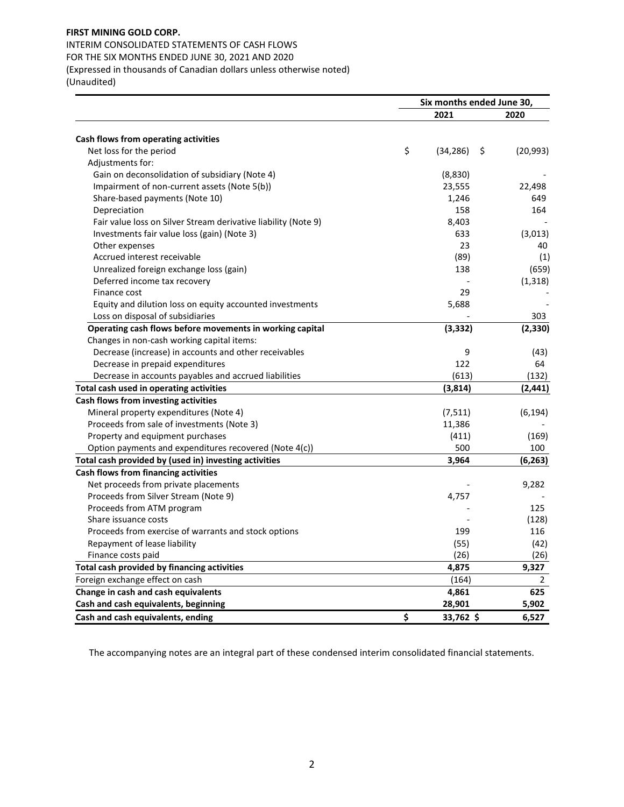INTERIM CONSOLIDATED STATEMENTS OF CASH FLOWS FOR THE SIX MONTHS ENDED JUNE 30, 2021 AND 2020 (Expressed in thousands of Canadian dollars unless otherwise noted)

(Unaudited)

|                                                                | Six months ended June 30, |                 |  |
|----------------------------------------------------------------|---------------------------|-----------------|--|
|                                                                | 2021                      | 2020            |  |
| Cash flows from operating activities                           |                           |                 |  |
| Net loss for the period                                        | \$<br>(34, 286)           | \$<br>(20, 993) |  |
| Adjustments for:                                               |                           |                 |  |
| Gain on deconsolidation of subsidiary (Note 4)                 | (8,830)                   |                 |  |
| Impairment of non-current assets (Note 5(b))                   | 23,555                    | 22,498          |  |
|                                                                | 1,246                     | 649             |  |
| Share-based payments (Note 10)<br>Depreciation                 | 158                       | 164             |  |
| Fair value loss on Silver Stream derivative liability (Note 9) | 8,403                     |                 |  |
|                                                                | 633                       |                 |  |
| Investments fair value loss (gain) (Note 3)                    | 23                        | (3,013)         |  |
| Other expenses                                                 | (89)                      | 40              |  |
| Accrued interest receivable                                    |                           | (1)             |  |
| Unrealized foreign exchange loss (gain)                        | 138                       | (659)           |  |
| Deferred income tax recovery                                   |                           | (1, 318)        |  |
| Finance cost                                                   | 29                        |                 |  |
| Equity and dilution loss on equity accounted investments       | 5,688                     |                 |  |
| Loss on disposal of subsidiaries                               |                           | 303             |  |
| Operating cash flows before movements in working capital       | (3, 332)                  | (2,330)         |  |
| Changes in non-cash working capital items:                     |                           |                 |  |
| Decrease (increase) in accounts and other receivables          | 9                         | (43)            |  |
| Decrease in prepaid expenditures                               | 122                       | 64              |  |
| Decrease in accounts payables and accrued liabilities          | (613)                     | (132)           |  |
| Total cash used in operating activities                        | (3,814)                   | (2, 441)        |  |
| Cash flows from investing activities                           |                           |                 |  |
| Mineral property expenditures (Note 4)                         | (7,511)                   | (6, 194)        |  |
| Proceeds from sale of investments (Note 3)                     | 11,386                    |                 |  |
| Property and equipment purchases                               | (411)                     | (169)           |  |
| Option payments and expenditures recovered (Note 4(c))         | 500                       | 100             |  |
| Total cash provided by (used in) investing activities          | 3,964                     | (6, 263)        |  |
| Cash flows from financing activities                           |                           |                 |  |
| Net proceeds from private placements                           |                           | 9,282           |  |
| Proceeds from Silver Stream (Note 9)                           | 4,757                     |                 |  |
| Proceeds from ATM program                                      |                           | 125             |  |
| Share issuance costs                                           |                           | (128)           |  |
| Proceeds from exercise of warrants and stock options           | 199                       | 116             |  |
| Repayment of lease liability                                   | (55)                      | (42)            |  |
| Finance costs paid                                             | (26)                      | (26)            |  |
| Total cash provided by financing activities                    | 4,875                     | 9,327           |  |
| Foreign exchange effect on cash                                | (164)                     | $\mathbf{2}$    |  |
| Change in cash and cash equivalents                            | 4,861                     | 625             |  |
| Cash and cash equivalents, beginning                           | 28,901                    | 5,902           |  |
| Cash and cash equivalents, ending                              | \$<br>33,762 \$           | 6,527           |  |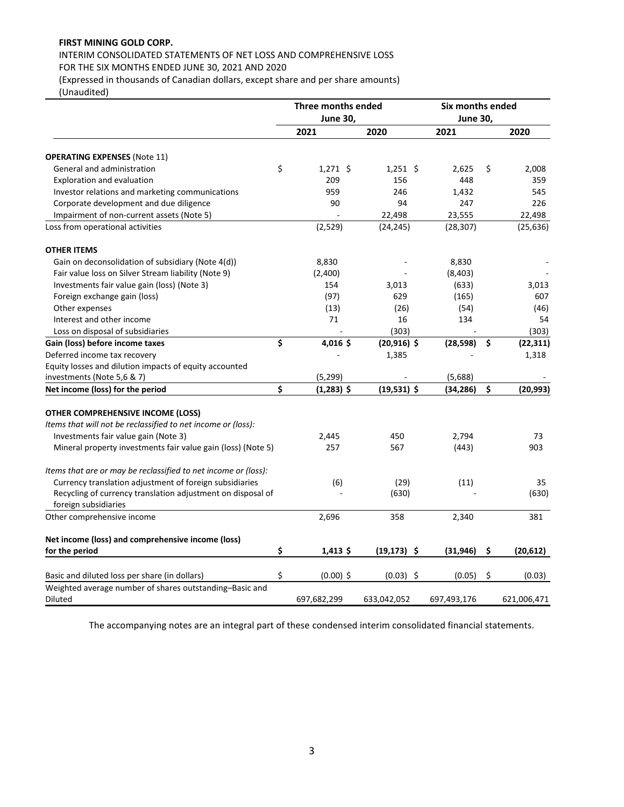# INTERIM CONSOLIDATED STATEMENTS OF NET LOSS AND COMPREHENSIVE LOSS FOR THE SIX MONTHS ENDED JUNE 30, 2021 AND 2020

(Expressed in thousands of Canadian dollars, except share and per share amounts)

(Unaudited)

|                                                                | Three months ended |                 |                | Six months ended |    |             |  |
|----------------------------------------------------------------|--------------------|-----------------|----------------|------------------|----|-------------|--|
|                                                                |                    | <b>June 30,</b> |                | <b>June 30,</b>  |    |             |  |
|                                                                |                    | 2021            | 2020           | 2021             |    | 2020        |  |
| <b>OPERATING EXPENSES (Note 11)</b>                            |                    |                 |                |                  |    |             |  |
| General and administration                                     | \$                 | $1,271$ \$      | $1,251$ \$     | 2,625            | \$ | 2,008       |  |
| <b>Exploration and evaluation</b>                              |                    | 209             | 156            | 448              |    | 359         |  |
| Investor relations and marketing communications                |                    | 959             | 246            | 1,432            |    | 545         |  |
| Corporate development and due diligence                        |                    | 90              | 94             | 247              |    | 226         |  |
| Impairment of non-current assets (Note 5)                      |                    |                 | 22,498         | 23,555           |    | 22,498      |  |
| Loss from operational activities                               |                    | (2,529)         | (24, 245)      | (28, 307)        |    | (25, 636)   |  |
| <b>OTHER ITEMS</b>                                             |                    |                 |                |                  |    |             |  |
| Gain on deconsolidation of subsidiary (Note 4(d))              |                    | 8,830           |                | 8,830            |    |             |  |
| Fair value loss on Silver Stream liability (Note 9)            |                    | (2,400)         |                | (8,403)          |    |             |  |
| Investments fair value gain (loss) (Note 3)                    |                    | 154             | 3,013          | (633)            |    | 3,013       |  |
| Foreign exchange gain (loss)                                   |                    | (97)            | 629            | (165)            |    | 607         |  |
| Other expenses                                                 |                    | (13)            | (26)           | (54)             |    | (46)        |  |
| Interest and other income                                      |                    | 71              | 16             | 134              |    | 54          |  |
| Loss on disposal of subsidiaries                               |                    |                 | (303)          |                  |    | (303)       |  |
| Gain (loss) before income taxes                                | \$                 | 4,016\$         | $(20,916)$ \$  | (28, 598)        | \$ | (22, 311)   |  |
| Deferred income tax recovery                                   |                    |                 | 1,385          |                  |    | 1,318       |  |
| Equity losses and dilution impacts of equity accounted         |                    |                 |                |                  |    |             |  |
| investments (Note 5,6 & 7)                                     |                    | (5, 299)        |                | (5,688)          |    |             |  |
| Net income (loss) for the period                               | \$                 | $(1,283)$ \$    | $(19,531)$ \$  | (34,286)         | Ś  | (20, 993)   |  |
| OTHER COMPREHENSIVE INCOME (LOSS)                              |                    |                 |                |                  |    |             |  |
| Items that will not be reclassified to net income or (loss):   |                    |                 |                |                  |    |             |  |
| Investments fair value gain (Note 3)                           |                    | 2,445           | 450            | 2,794            |    | 73          |  |
| Mineral property investments fair value gain (loss) (Note 5)   |                    | 257             | 567            | (443)            |    | 903         |  |
| Items that are or may be reclassified to net income or (loss): |                    |                 |                |                  |    |             |  |
| Currency translation adjustment of foreign subsidiaries        |                    | (6)             | (29)           | (11)             |    | 35          |  |
| Recycling of currency translation adjustment on disposal of    |                    |                 | (630)          |                  |    | (630)       |  |
| foreign subsidiaries                                           |                    |                 |                |                  |    |             |  |
| Other comprehensive income                                     |                    | 2,696           | 358            | 2,340            |    | 381         |  |
| Net income (loss) and comprehensive income (loss)              |                    |                 |                |                  |    |             |  |
| for the period                                                 | \$                 | $1,413$ \$      | $(19, 173)$ \$ | (31, 946)        | \$ | (20,612)    |  |
| Basic and diluted loss per share (in dollars)                  | \$                 | $(0.00)$ \$     | $(0.03)$ \$    | (0.05)           | \$ | (0.03)      |  |
| Weighted average number of shares outstanding-Basic and        |                    |                 |                |                  |    |             |  |
| Diluted                                                        |                    | 697,682,299     | 633,042,052    | 697,493,176      |    | 621,006,471 |  |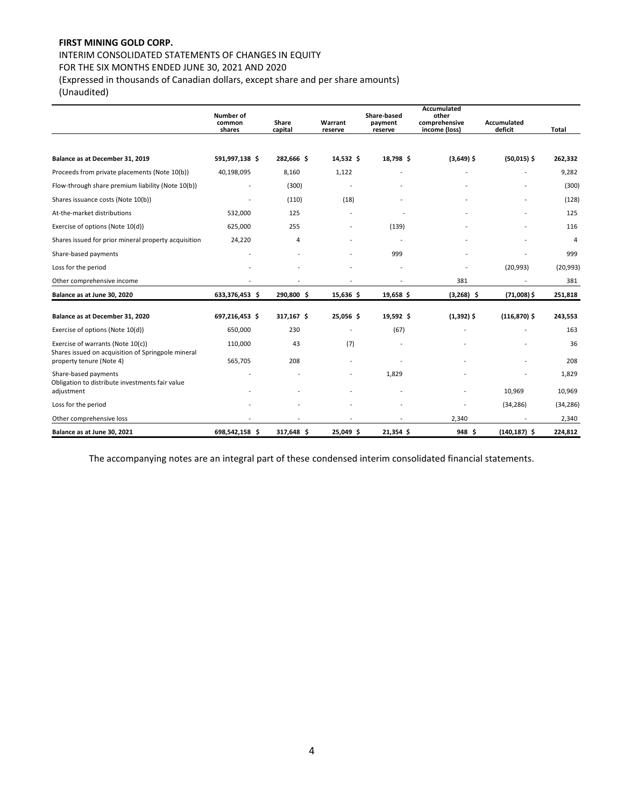# INTERIM CONSOLIDATED STATEMENTS OF CHANGES IN EQUITY

FOR THE SIX MONTHS ENDED JUNE 30, 2021 AND 2020

(Expressed in thousands of Canadian dollars, except share and per share amounts)

(Unaudited)

|                                                                                         | <b>Number of</b> |                  |                    | Share-based        | Accumulated<br>other           |                        |                |
|-----------------------------------------------------------------------------------------|------------------|------------------|--------------------|--------------------|--------------------------------|------------------------|----------------|
|                                                                                         | common<br>shares | Share<br>capital | Warrant<br>reserve | payment<br>reserve | comprehensive<br>income (loss) | Accumulated<br>deficit | Total          |
|                                                                                         |                  |                  |                    |                    |                                |                        |                |
| Balance as at December 31, 2019                                                         | 591,997,138 \$   | 282,666 \$       | 14,532 \$          | 18,798 \$          | $(3,649)$ \$                   | $(50,015)$ \$          | 262,332        |
| Proceeds from private placements (Note 10(b))                                           | 40,198,095       | 8,160            | 1,122              |                    |                                |                        | 9,282          |
| Flow-through share premium liability (Note 10(b))                                       |                  | (300)            |                    |                    |                                |                        | (300)          |
| Shares issuance costs (Note 10(b))                                                      |                  | (110)            | (18)               |                    |                                |                        | (128)          |
| At-the-market distributions                                                             | 532,000          | 125              |                    |                    |                                |                        | 125            |
| Exercise of options (Note 10(d))                                                        | 625,000          | 255              |                    | (139)              |                                |                        | 116            |
| Shares issued for prior mineral property acquisition                                    | 24,220           | 4                |                    |                    |                                |                        | $\overline{4}$ |
| Share-based payments                                                                    |                  |                  |                    | 999                |                                |                        | 999            |
| Loss for the period                                                                     |                  |                  |                    |                    |                                | (20, 993)              | (20, 993)      |
| Other comprehensive income                                                              |                  |                  |                    |                    | 381                            |                        | 381            |
| Balance as at June 30, 2020                                                             | 633,376,453 \$   | 290,800 \$       | 15,636 \$          | 19,658 \$          | $(3,268)$ \$                   | $(71,008)$ \$          | 251,818        |
| Balance as at December 31, 2020                                                         | 697,216,453 \$   | 317,167 \$       | 25,056 \$          | 19,592 \$          | $(1,392)$ \$                   | $(116, 870)$ \$        | 243,553        |
| Exercise of options (Note 10(d))                                                        | 650,000          | 230              |                    | (67)               |                                |                        | 163            |
| Exercise of warrants (Note 10(c))<br>Shares issued on acquisition of Springpole mineral | 110,000          | 43               | (7)                |                    |                                |                        | 36             |
| property tenure (Note 4)                                                                | 565,705          | 208              |                    |                    |                                |                        | 208            |
| Share-based payments<br>Obligation to distribute investments fair value                 |                  |                  |                    | 1,829              |                                |                        | 1,829          |
| adjustment                                                                              |                  |                  |                    |                    |                                | 10,969                 | 10,969         |
| Loss for the period                                                                     |                  |                  |                    |                    |                                | (34, 286)              | (34, 286)      |
| Other comprehensive loss                                                                |                  |                  |                    |                    | 2,340                          |                        | 2,340          |
| Balance as at June 30, 2021                                                             | 698,542,158 \$   | 317,648 \$       | 25,049 \$          | 21,354 \$          | 948 <sup>5</sup>               | $(140, 187)$ \$        | 224,812        |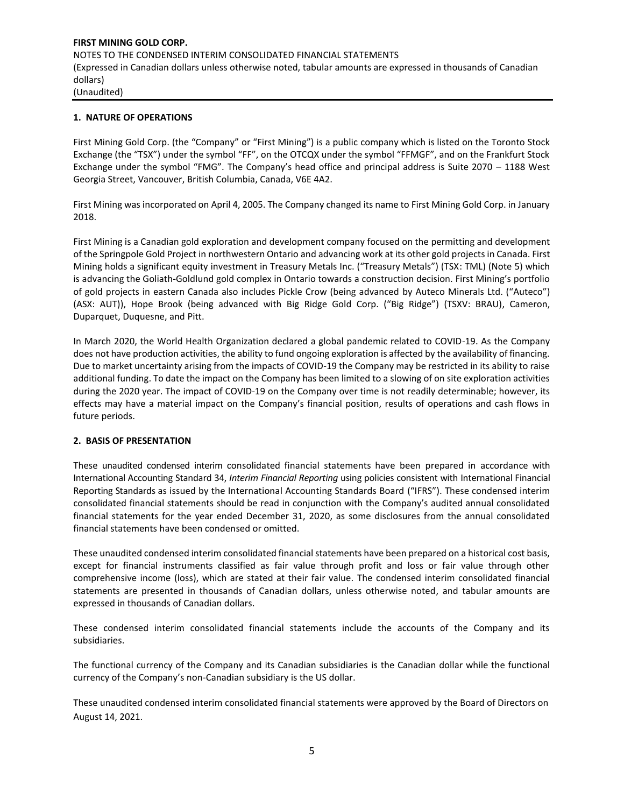#### **1. NATURE OF OPERATIONS**

First Mining Gold Corp. (the "Company" or "First Mining") is a public company which is listed on the Toronto Stock Exchange (the "TSX") under the symbol "FF", on the OTCQX under the symbol "FFMGF", and on the Frankfurt Stock Exchange under the symbol "FMG". The Company's head office and principal address is Suite 2070 – 1188 West Georgia Street, Vancouver, British Columbia, Canada, V6E 4A2.

First Mining was incorporated on April 4, 2005. The Company changed its name to First Mining Gold Corp. in January 2018.

First Mining is a Canadian gold exploration and development company focused on the permitting and development of the Springpole Gold Project in northwestern Ontario and advancing work at its other gold projects in Canada. First Mining holds a significant equity investment in Treasury Metals Inc. ("Treasury Metals") (TSX: TML) (Note 5) which is advancing the Goliath-Goldlund gold complex in Ontario towards a construction decision. First Mining's portfolio of gold projects in eastern Canada also includes Pickle Crow (being advanced by Auteco Minerals Ltd. ("Auteco") (ASX: AUT)), Hope Brook (being advanced with Big Ridge Gold Corp. ("Big Ridge") (TSXV: BRAU), Cameron, Duparquet, Duquesne, and Pitt.

In March 2020, the World Health Organization declared a global pandemic related to COVID-19. As the Company does not have production activities, the ability to fund ongoing exploration is affected by the availability of financing. Due to market uncertainty arising from the impacts of COVID-19 the Company may be restricted in its ability to raise additional funding. To date the impact on the Company has been limited to a slowing of on site exploration activities during the 2020 year. The impact of COVID-19 on the Company over time is not readily determinable; however, its effects may have a material impact on the Company's financial position, results of operations and cash flows in future periods.

#### **2. BASIS OF PRESENTATION**

These unaudited condensed interim consolidated financial statements have been prepared in accordance with International Accounting Standard 34, *Interim Financial Reporting* using policies consistent with International Financial Reporting Standards as issued by the International Accounting Standards Board ("IFRS"). These condensed interim consolidated financial statements should be read in conjunction with the Company's audited annual consolidated financial statements for the year ended December 31, 2020, as some disclosures from the annual consolidated financial statements have been condensed or omitted.

These unaudited condensed interim consolidated financial statements have been prepared on a historical cost basis, except for financial instruments classified as fair value through profit and loss or fair value through other comprehensive income (loss), which are stated at their fair value. The condensed interim consolidated financial statements are presented in thousands of Canadian dollars, unless otherwise noted, and tabular amounts are expressed in thousands of Canadian dollars.

These condensed interim consolidated financial statements include the accounts of the Company and its subsidiaries.

The functional currency of the Company and its Canadian subsidiaries is the Canadian dollar while the functional currency of the Company's non-Canadian subsidiary is the US dollar.

These unaudited condensed interim consolidated financial statements were approved by the Board of Directors on August 14, 2021.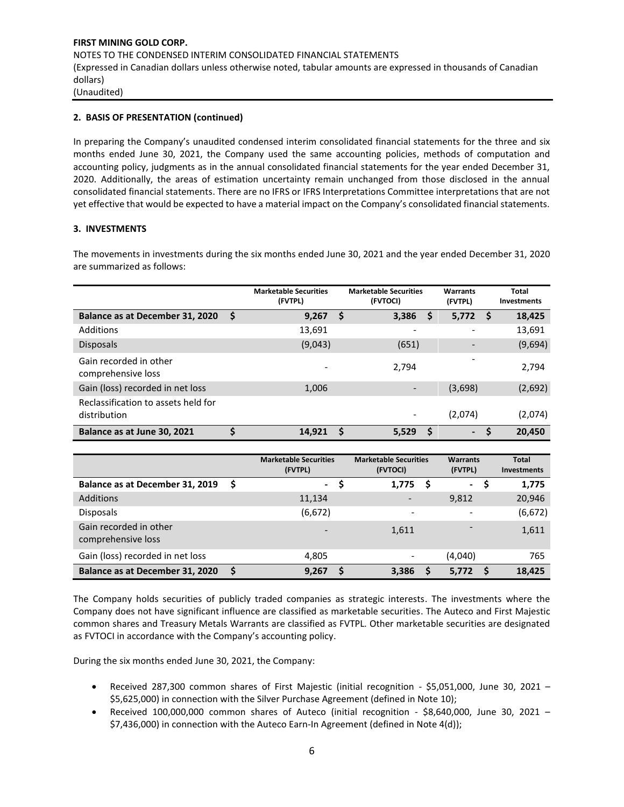# **2. BASIS OF PRESENTATION (continued)**

In preparing the Company's unaudited condensed interim consolidated financial statements for the three and six months ended June 30, 2021, the Company used the same accounting policies, methods of computation and accounting policy, judgments as in the annual consolidated financial statements for the year ended December 31, 2020. Additionally, the areas of estimation uncertainty remain unchanged from those disclosed in the annual consolidated financial statements. There are no IFRS or IFRS Interpretations Committee interpretations that are not yet effective that would be expected to have a material impact on the Company's consolidated financial statements.

# **3. INVESTMENTS**

The movements in investments during the six months ended June 30, 2021 and the year ended December 31, 2020 are summarized as follows:

|                                                     |     | <b>Marketable Securities</b><br>(FVTPL) |    | <b>Marketable Securities</b><br>(FVTOCI) |   | Warrants<br>(FVTPL)      |     | Total<br><b>Investments</b> |
|-----------------------------------------------------|-----|-----------------------------------------|----|------------------------------------------|---|--------------------------|-----|-----------------------------|
| Balance as at December 31, 2020                     | -\$ | 9,267                                   | Ŝ. | 3,386                                    | S | 5,772                    | - S | 18,425                      |
| Additions                                           |     | 13,691                                  |    |                                          |   | ٠                        |     | 13,691                      |
| <b>Disposals</b>                                    |     | (9,043)                                 |    | (651)                                    |   | $\overline{\phantom{a}}$ |     | (9,694)                     |
| Gain recorded in other<br>comprehensive loss        |     |                                         |    | 2.794                                    |   | -                        |     | 2,794                       |
| Gain (loss) recorded in net loss                    |     | 1,006                                   |    |                                          |   | (3,698)                  |     | (2,692)                     |
| Reclassification to assets held for<br>distribution |     |                                         |    | $\qquad \qquad \blacksquare$             |   | (2,074)                  |     | (2,074)                     |
| Balance as at June 30, 2021                         | \$  | 14,921                                  | Ŝ. | 5,529                                    | S | $\overline{\phantom{a}}$ | S   | 20,450                      |

|                                              |     | <b>Marketable Securities</b><br>(FVTPL) |   | <b>Marketable Securities</b><br>(FVTOCI) |   | <b>Warrants</b><br>(FVTPL) | <b>Total</b><br>Investments |
|----------------------------------------------|-----|-----------------------------------------|---|------------------------------------------|---|----------------------------|-----------------------------|
| Balance as at December 31, 2019              | - S | ۰.                                      | S | 1,775                                    | S | $\blacksquare$             | 1,775                       |
| <b>Additions</b>                             |     | 11,134                                  |   | $\qquad \qquad \blacksquare$             |   | 9,812                      | 20,946                      |
| <b>Disposals</b>                             |     | (6, 672)                                |   |                                          |   |                            | (6, 672)                    |
| Gain recorded in other<br>comprehensive loss |     |                                         |   | 1,611                                    |   |                            | 1,611                       |
| Gain (loss) recorded in net loss             |     | 4,805                                   |   |                                          |   | (4,040)                    | 765                         |
| Balance as at December 31, 2020              |     | 9,267                                   | S | 3,386                                    |   | 5,772                      | 18.425                      |

The Company holds securities of publicly traded companies as strategic interests. The investments where the Company does not have significant influence are classified as marketable securities. The Auteco and First Majestic common shares and Treasury Metals Warrants are classified as FVTPL. Other marketable securities are designated as FVTOCI in accordance with the Company's accounting policy.

During the six months ended June 30, 2021, the Company:

- Received 287,300 common shares of First Majestic (initial recognition \$5,051,000, June 30, 2021 \$5,625,000) in connection with the Silver Purchase Agreement (defined in Note 10);
- Received 100,000,000 common shares of Auteco (initial recognition \$8,640,000, June 30, 2021 \$7,436,000) in connection with the Auteco Earn-In Agreement (defined in Note 4(d));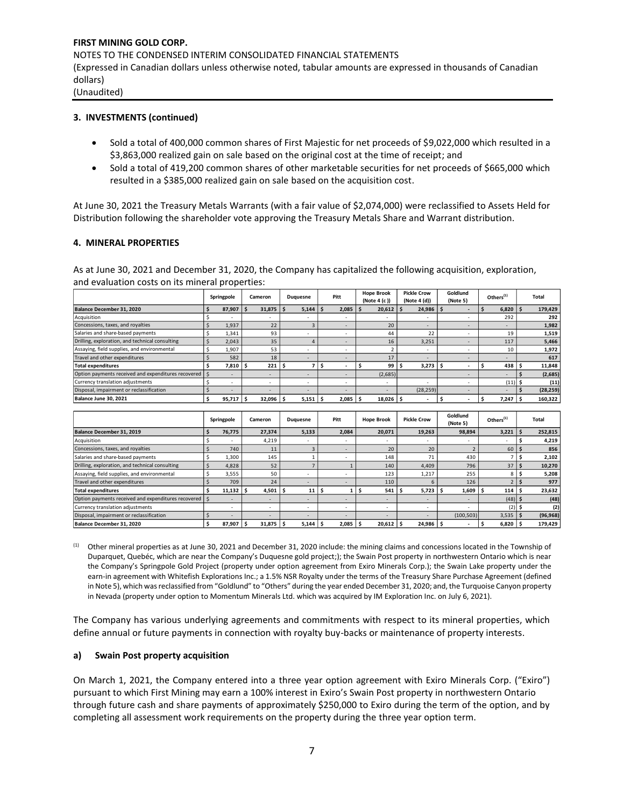#### **3. INVESTMENTS (continued)**

- Sold a total of 400,000 common shares of First Majestic for net proceeds of \$9,022,000 which resulted in a \$3,863,000 realized gain on sale based on the original cost at the time of receipt; and
- Sold a total of 419,200 common shares of other marketable securities for net proceeds of \$665,000 which resulted in a \$385,000 realized gain on sale based on the acquisition cost.

At June 30, 2021 the Treasury Metals Warrants (with a fair value of \$2,074,000) were reclassified to Assets Held for Distribution following the shareholder vote approving the Treasury Metals Share and Warrant distribution.

#### **4. MINERAL PROPERTIES**

As at June 30, 2021 and December 31, 2020, the Company has capitalized the following acquisition, exploration, and evaluation costs on its mineral properties:

|                                                          | Springpole               | Cameron                  | Duguesne                 | Pitt                     | <b>Hope Brook</b><br>(Note 4 (c )) | <b>Pickle Crow</b><br>(Note 4 (d)) | Goldlund<br>(Note 5) | Others $(1)$             | Total     |
|----------------------------------------------------------|--------------------------|--------------------------|--------------------------|--------------------------|------------------------------------|------------------------------------|----------------------|--------------------------|-----------|
| Balance December 31, 2020                                | 87,907                   | 31,875                   | 5,144                    | 2,085                    | 20,612                             | 24,986                             |                      | 6,820                    | 179,429   |
| Acquisition                                              | $\overline{\phantom{a}}$ | $\overline{\phantom{a}}$ |                          | $\overline{\phantom{0}}$ | $\overline{a}$                     | ٠                                  |                      | 292                      | 292       |
| Concessions, taxes, and royalties                        | 1,937                    | 22                       |                          |                          | 20                                 | ۰                                  |                      |                          | 1,982     |
| Salaries and share-based payments                        | 1,341                    | 93                       | $\overline{\phantom{a}}$ | ٠                        | 44                                 | 22                                 |                      | 19                       | 1,519     |
| Drilling, exploration, and technical consulting          | 2,043                    | 35                       |                          |                          | 16                                 | 3,251                              |                      | 117                      | 5,466     |
| Assaying, field supplies, and environmental              | 1,907                    | 53                       |                          | $\overline{\phantom{0}}$ |                                    | ٠                                  |                      | 10                       | 1,972     |
| Travel and other expenditures                            | 582                      | 18                       | $\overline{\phantom{0}}$ |                          | 17                                 | ۰                                  |                      |                          | 617       |
| <b>Total expenditures</b>                                | 7,810                    | 221                      |                          |                          | 99                                 | 3,273                              |                      | 438                      | 11,848    |
| Option payments received and expenditures recovered \ \$ | ۰                        | $\overline{\phantom{a}}$ | $\overline{\phantom{0}}$ |                          | (2,685)                            |                                    |                      | $\overline{\phantom{0}}$ | (2,685)   |
| Currency translation adjustments                         | $\overline{\phantom{a}}$ | $\sim$                   | $\overline{\phantom{a}}$ |                          | $\blacksquare$                     | ٠                                  |                      | $(11)$ \$                | (11)      |
| Disposal, impairment or reclassification                 |                          | <b>F</b>                 |                          | ٠                        | ۰                                  | (28, 259)                          |                      |                          | (28, 259) |
| Balance June 30, 2021                                    | 95,717                   | 32,096                   | 5,151                    | 2,085                    | 18,026                             | $\overline{\phantom{a}}$           |                      | 7,247                    | 160,322   |

|                                                          | Springpole               | Cameron                  | Duguesne                 | Pitt  | <b>Hope Brook</b>        | <b>Pickle Crow</b>       | Goldlund<br>(Note 5)     | Others $(1)$ | Total            |
|----------------------------------------------------------|--------------------------|--------------------------|--------------------------|-------|--------------------------|--------------------------|--------------------------|--------------|------------------|
| Balance December 31, 2019                                | 76.775                   | 27.374                   | 5,133                    | 2.084 | 20,071                   | 19,263                   | 98,894                   | 3,221        | 252,815<br>э.    |
| Acquisition                                              |                          | 4,219                    |                          |       | $\overline{\phantom{a}}$ | $\overline{\phantom{a}}$ | ٠                        |              | 4,219            |
| Concessions, taxes, and royalties                        | 740                      | 11                       |                          |       | 20                       | 20                       |                          | 60           | 856              |
| Salaries and share-based payments                        | 1,300                    | 145                      |                          |       | 148                      | 71                       | 430                      |              | 2,102            |
| Drilling, exploration, and technical consulting          | 4,828                    | 52                       |                          |       | 140                      | 4,409                    | 796                      | 37           | 10,270           |
| Assaying, field supplies, and environmental              | 3,555                    | 50                       | $\overline{\phantom{a}}$ |       | 123                      | 1,217                    | 255                      | 8            | 5,208            |
| Travel and other expenditures                            | 709                      | 24                       | ۰                        |       | 110                      |                          | 126                      |              | 977              |
| <b>Total expenditures</b>                                | 11,132                   | 4,501                    | 11                       |       | 541                      | 5,723                    | 1,609                    | 114          | 23,632           |
| Option payments received and expenditures recovered   \$ |                          | $\overline{\phantom{a}}$ |                          |       |                          | ۰                        |                          | $(48)$ \$    | (48)             |
| Currency translation adjustments                         | $\overline{\phantom{a}}$ | $\overline{\phantom{a}}$ | $\overline{\phantom{a}}$ |       |                          | $\overline{\phantom{a}}$ | $\overline{\phantom{0}}$ | $(2)$ \$     | (2)              |
| Disposal, impairment or reclassification                 |                          | ۰                        |                          |       |                          | ۰                        | (100, 503)               | 3,535        | (96, 968)<br>د ا |
| Balance December 31, 2020                                | 87.907                   | 31,875                   | 5.144                    | 2,085 | 20,612                   | 24,986                   | $\overline{\phantom{0}}$ | 6,820        | 179,429          |

(1) Other mineral properties as at June 30, 2021 and December 31, 2020 include: the mining claims and concessions located in the Township of Duparquet, Quebéc, which are near the Company's Duquesne gold project;); the Swain Post property in northwestern Ontario which is near the Company's Springpole Gold Project (property under option agreement from Exiro Minerals Corp.); the Swain Lake property under the earn-in agreement with Whitefish Explorations Inc.; a 1.5% NSR Royalty under the terms of the Treasury Share Purchase Agreement (defined in Note 5), which was reclassified from "Goldlund" to "Others" during the year ended December 31, 2020; and, the Turquoise Canyon property in Nevada (property under option to Momentum Minerals Ltd. which was acquired by IM Exploration Inc. on July 6, 2021).

The Company has various underlying agreements and commitments with respect to its mineral properties, which define annual or future payments in connection with royalty buy-backs or maintenance of property interests.

#### **a) Swain Post property acquisition**

On March 1, 2021, the Company entered into a three year option agreement with Exiro Minerals Corp. ("Exiro") pursuant to which First Mining may earn a 100% interest in Exiro's Swain Post property in northwestern Ontario through future cash and share payments of approximately \$250,000 to Exiro during the term of the option, and by completing all assessment work requirements on the property during the three year option term.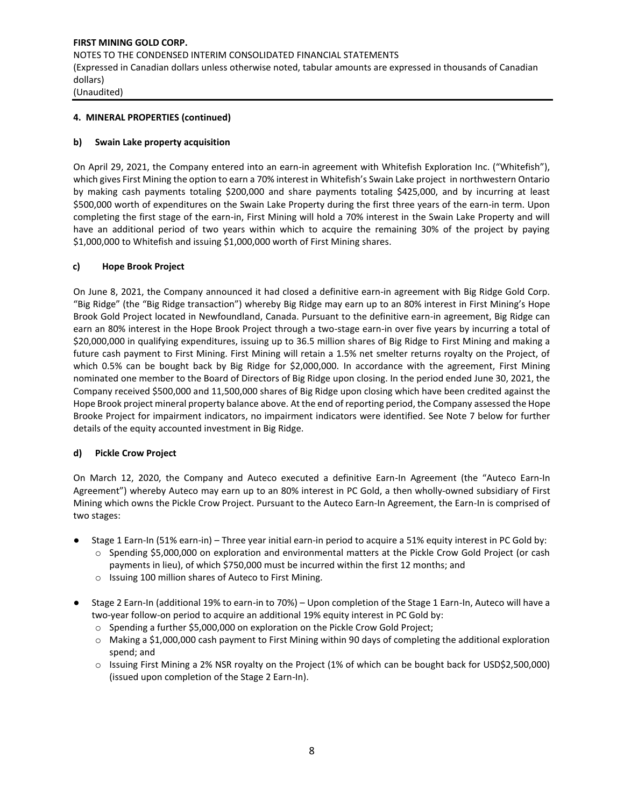#### **4. MINERAL PROPERTIES (continued)**

#### **b) Swain Lake property acquisition**

On April 29, 2021, the Company entered into an earn-in agreement with Whitefish Exploration Inc. ("Whitefish"), which gives First Mining the option to earn a 70% interest in Whitefish's Swain Lake project in northwestern Ontario by making cash payments totaling \$200,000 and share payments totaling \$425,000, and by incurring at least \$500,000 worth of expenditures on the Swain Lake Property during the first three years of the earn-in term. Upon completing the first stage of the earn-in, First Mining will hold a 70% interest in the Swain Lake Property and will have an additional period of two years within which to acquire the remaining 30% of the project by paying \$1,000,000 to Whitefish and issuing \$1,000,000 worth of First Mining shares.

#### **c) Hope Brook Project**

On June 8, 2021, the Company announced it had closed a definitive earn-in agreement with Big Ridge Gold Corp. "Big Ridge" (the "Big Ridge transaction") whereby Big Ridge may earn up to an 80% interest in First Mining's Hope Brook Gold Project located in Newfoundland, Canada. Pursuant to the definitive earn-in agreement, Big Ridge can earn an 80% interest in the Hope Brook Project through a two-stage earn-in over five years by incurring a total of \$20,000,000 in qualifying expenditures, issuing up to 36.5 million shares of Big Ridge to First Mining and making a future cash payment to First Mining. First Mining will retain a 1.5% net smelter returns royalty on the Project, of which 0.5% can be bought back by Big Ridge for \$2,000,000. In accordance with the agreement, First Mining nominated one member to the Board of Directors of Big Ridge upon closing. In the period ended June 30, 2021, the Company received \$500,000 and 11,500,000 shares of Big Ridge upon closing which have been credited against the Hope Brook project mineral property balance above. At the end of reporting period, the Company assessed the Hope Brooke Project for impairment indicators, no impairment indicators were identified. See Note 7 below for further details of the equity accounted investment in Big Ridge.

#### **d) Pickle Crow Project**

On March 12, 2020, the Company and Auteco executed a definitive Earn-In Agreement (the "Auteco Earn-In Agreement") whereby Auteco may earn up to an 80% interest in PC Gold, a then wholly-owned subsidiary of First Mining which owns the Pickle Crow Project. Pursuant to the Auteco Earn-In Agreement, the Earn-In is comprised of two stages:

- Stage 1 Earn-In (51% earn-in) Three year initial earn-in period to acquire a 51% equity interest in PC Gold by:
	- o Spending \$5,000,000 on exploration and environmental matters at the Pickle Crow Gold Project (or cash payments in lieu), of which \$750,000 must be incurred within the first 12 months; and
		- o Issuing 100 million shares of Auteco to First Mining.
- Stage 2 Earn-In (additional 19% to earn-in to 70%) Upon completion of the Stage 1 Earn-In, Auteco will have a two-year follow-on period to acquire an additional 19% equity interest in PC Gold by:
	- o Spending a further \$5,000,000 on exploration on the Pickle Crow Gold Project;
	- o Making a \$1,000,000 cash payment to First Mining within 90 days of completing the additional exploration spend; and
	- o Issuing First Mining a 2% NSR royalty on the Project (1% of which can be bought back for USD\$2,500,000) (issued upon completion of the Stage 2 Earn-In).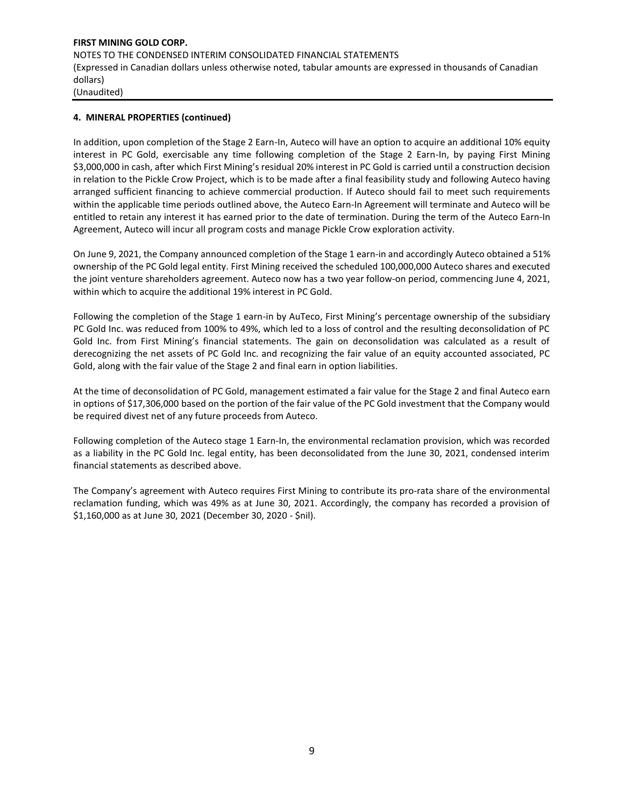#### **4. MINERAL PROPERTIES (continued)**

In addition, upon completion of the Stage 2 Earn-In, Auteco will have an option to acquire an additional 10% equity interest in PC Gold, exercisable any time following completion of the Stage 2 Earn-In, by paying First Mining \$3,000,000 in cash, after which First Mining's residual 20% interest in PC Gold is carried until a construction decision in relation to the Pickle Crow Project, which is to be made after a final feasibility study and following Auteco having arranged sufficient financing to achieve commercial production. If Auteco should fail to meet such requirements within the applicable time periods outlined above, the Auteco Earn-In Agreement will terminate and Auteco will be entitled to retain any interest it has earned prior to the date of termination. During the term of the Auteco Earn-In Agreement, Auteco will incur all program costs and manage Pickle Crow exploration activity.

On June 9, 2021, the Company announced completion of the Stage 1 earn-in and accordingly Auteco obtained a 51% ownership of the PC Gold legal entity. First Mining received the scheduled 100,000,000 Auteco shares and executed the joint venture shareholders agreement. Auteco now has a two year follow-on period, commencing June 4, 2021, within which to acquire the additional 19% interest in PC Gold.

Following the completion of the Stage 1 earn-in by AuTeco, First Mining's percentage ownership of the subsidiary PC Gold Inc. was reduced from 100% to 49%, which led to a loss of control and the resulting deconsolidation of PC Gold Inc. from First Mining's financial statements. The gain on deconsolidation was calculated as a result of derecognizing the net assets of PC Gold Inc. and recognizing the fair value of an equity accounted associated, PC Gold, along with the fair value of the Stage 2 and final earn in option liabilities.

At the time of deconsolidation of PC Gold, management estimated a fair value for the Stage 2 and final Auteco earn in options of \$17,306,000 based on the portion of the fair value of the PC Gold investment that the Company would be required divest net of any future proceeds from Auteco.

Following completion of the Auteco stage 1 Earn-In, the environmental reclamation provision, which was recorded as a liability in the PC Gold Inc. legal entity, has been deconsolidated from the June 30, 2021, condensed interim financial statements as described above.

The Company's agreement with Auteco requires First Mining to contribute its pro-rata share of the environmental reclamation funding, which was 49% as at June 30, 2021. Accordingly, the company has recorded a provision of \$1,160,000 as at June 30, 2021 (December 30, 2020 - \$nil).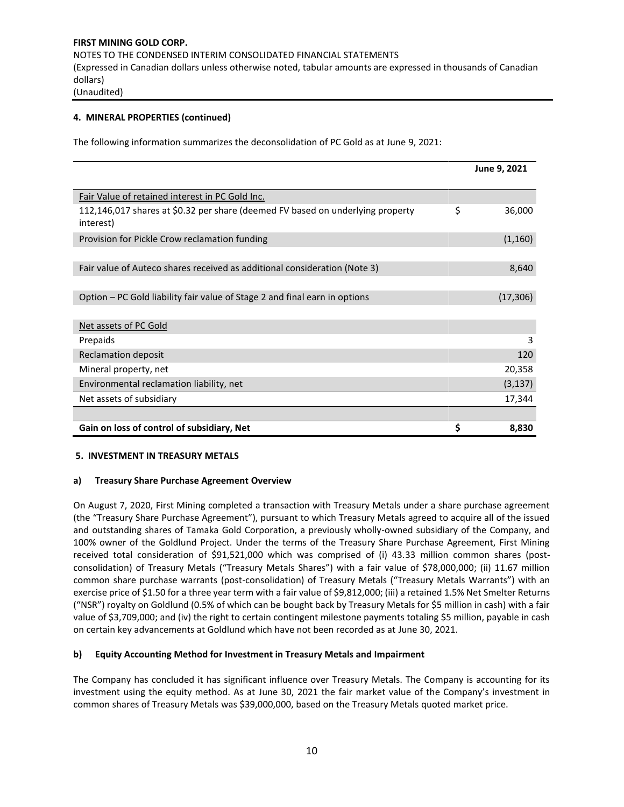# **4. MINERAL PROPERTIES (continued)**

The following information summarizes the deconsolidation of PC Gold as at June 9, 2021:

|                                                                                             | June 9, 2021 |
|---------------------------------------------------------------------------------------------|--------------|
|                                                                                             |              |
| Fair Value of retained interest in PC Gold Inc.                                             |              |
| 112,146,017 shares at \$0.32 per share (deemed FV based on underlying property<br>interest) | \$<br>36,000 |
| Provision for Pickle Crow reclamation funding                                               | (1, 160)     |
|                                                                                             |              |
| Fair value of Auteco shares received as additional consideration (Note 3)                   | 8,640        |
|                                                                                             |              |
| Option – PC Gold liability fair value of Stage 2 and final earn in options                  | (17, 306)    |
|                                                                                             |              |
| Net assets of PC Gold                                                                       |              |
| Prepaids                                                                                    | 3            |
| <b>Reclamation deposit</b>                                                                  | 120          |
| Mineral property, net                                                                       | 20,358       |
| Environmental reclamation liability, net                                                    | (3, 137)     |
| Net assets of subsidiary                                                                    | 17,344       |
|                                                                                             |              |
| Gain on loss of control of subsidiary, Net                                                  | \$<br>8,830  |

#### **5. INVESTMENT IN TREASURY METALS**

#### **a) Treasury Share Purchase Agreement Overview**

On August 7, 2020, First Mining completed a transaction with Treasury Metals under a share purchase agreement (the "Treasury Share Purchase Agreement"), pursuant to which Treasury Metals agreed to acquire all of the issued and outstanding shares of Tamaka Gold Corporation, a previously wholly-owned subsidiary of the Company, and 100% owner of the Goldlund Project. Under the terms of the Treasury Share Purchase Agreement, First Mining received total consideration of \$91,521,000 which was comprised of (i) 43.33 million common shares (postconsolidation) of Treasury Metals ("Treasury Metals Shares") with a fair value of \$78,000,000; (ii) 11.67 million common share purchase warrants (post-consolidation) of Treasury Metals ("Treasury Metals Warrants") with an exercise price of \$1.50 for a three year term with a fair value of \$9,812,000; (iii) a retained 1.5% Net Smelter Returns ("NSR") royalty on Goldlund (0.5% of which can be bought back by Treasury Metals for \$5 million in cash) with a fair value of \$3,709,000; and (iv) the right to certain contingent milestone payments totaling \$5 million, payable in cash on certain key advancements at Goldlund which have not been recorded as at June 30, 2021.

#### **b) Equity Accounting Method for Investment in Treasury Metals and Impairment**

The Company has concluded it has significant influence over Treasury Metals. The Company is accounting for its investment using the equity method. As at June 30, 2021 the fair market value of the Company's investment in common shares of Treasury Metals was \$39,000,000, based on the Treasury Metals quoted market price.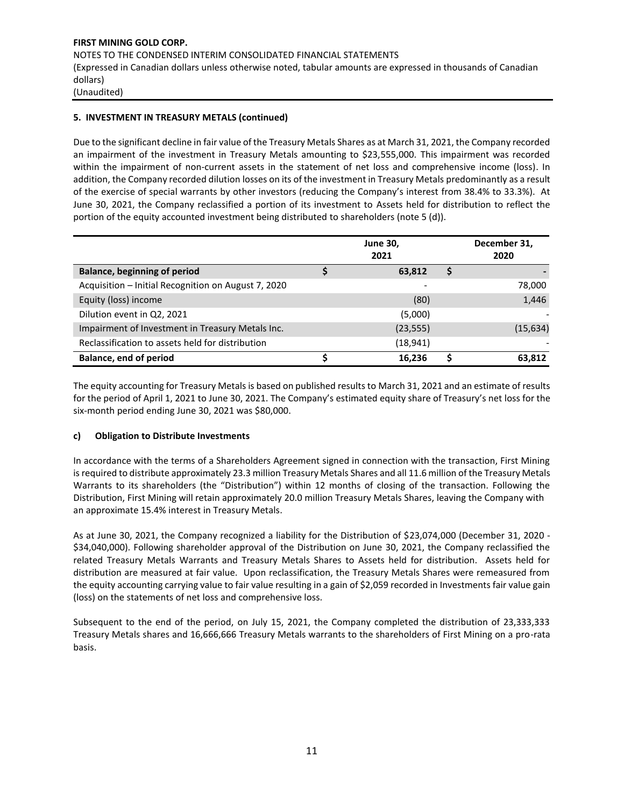# **5. INVESTMENT IN TREASURY METALS (continued)**

Due to the significant decline in fair value of the Treasury Metals Shares as at March 31, 2021, the Company recorded an impairment of the investment in Treasury Metals amounting to \$23,555,000. This impairment was recorded within the impairment of non-current assets in the statement of net loss and comprehensive income (loss). In addition, the Company recorded dilution losses on its of the investment in Treasury Metals predominantly as a result of the exercise of special warrants by other investors (reducing the Company's interest from 38.4% to 33.3%). At June 30, 2021, the Company reclassified a portion of its investment to Assets held for distribution to reflect the portion of the equity accounted investment being distributed to shareholders (note 5 (d)).

|                                                     | <b>June 30,</b><br>2021 |   | December 31,<br>2020 |
|-----------------------------------------------------|-------------------------|---|----------------------|
| <b>Balance, beginning of period</b>                 | 63,812                  | S |                      |
| Acquisition - Initial Recognition on August 7, 2020 |                         |   | 78,000               |
| Equity (loss) income                                | (80)                    |   | 1,446                |
| Dilution event in Q2, 2021                          | (5,000)                 |   |                      |
| Impairment of Investment in Treasury Metals Inc.    | (23, 555)               |   | (15, 634)            |
| Reclassification to assets held for distribution    | (18,941)                |   |                      |
| <b>Balance, end of period</b>                       | 16.236                  |   | 63,812               |

The equity accounting for Treasury Metals is based on published results to March 31, 2021 and an estimate of results for the period of April 1, 2021 to June 30, 2021. The Company's estimated equity share of Treasury's net loss for the six-month period ending June 30, 2021 was \$80,000.

#### **c) Obligation to Distribute Investments**

In accordance with the terms of a Shareholders Agreement signed in connection with the transaction, First Mining is required to distribute approximately 23.3 million Treasury Metals Shares and all 11.6 million of the Treasury Metals Warrants to its shareholders (the "Distribution") within 12 months of closing of the transaction. Following the Distribution, First Mining will retain approximately 20.0 million Treasury Metals Shares, leaving the Company with an approximate 15.4% interest in Treasury Metals.

As at June 30, 2021, the Company recognized a liability for the Distribution of \$23,074,000 (December 31, 2020 - \$34,040,000). Following shareholder approval of the Distribution on June 30, 2021, the Company reclassified the related Treasury Metals Warrants and Treasury Metals Shares to Assets held for distribution. Assets held for distribution are measured at fair value. Upon reclassification, the Treasury Metals Shares were remeasured from the equity accounting carrying value to fair value resulting in a gain of \$2,059 recorded in Investments fair value gain (loss) on the statements of net loss and comprehensive loss.

Subsequent to the end of the period, on July 15, 2021, the Company completed the distribution of 23,333,333 Treasury Metals shares and 16,666,666 Treasury Metals warrants to the shareholders of First Mining on a pro-rata basis.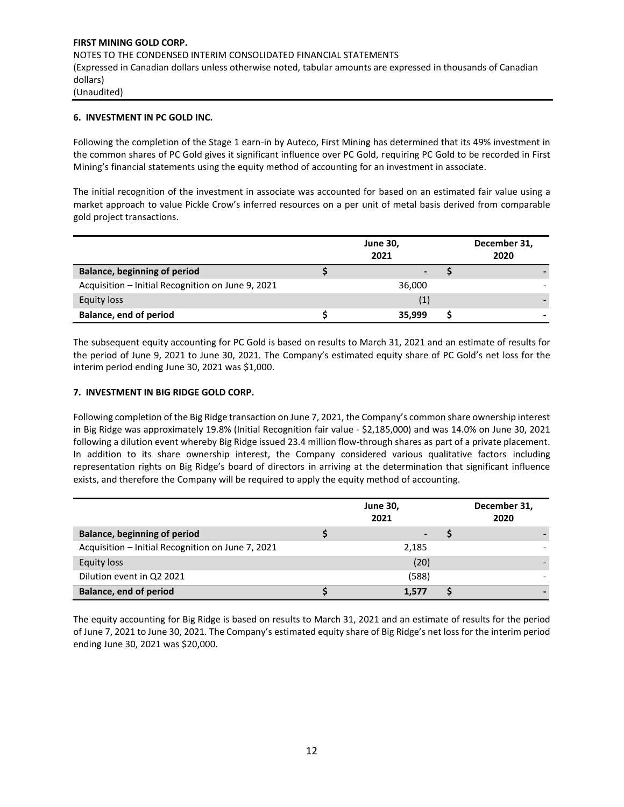#### **6. INVESTMENT IN PC GOLD INC.**

Following the completion of the Stage 1 earn-in by Auteco, First Mining has determined that its 49% investment in the common shares of PC Gold gives it significant influence over PC Gold, requiring PC Gold to be recorded in First Mining's financial statements using the equity method of accounting for an investment in associate.

The initial recognition of the investment in associate was accounted for based on an estimated fair value using a market approach to value Pickle Crow's inferred resources on a per unit of metal basis derived from comparable gold project transactions.

|                                                   | <b>June 30,</b><br>2021 | December 31,<br>2020 |
|---------------------------------------------------|-------------------------|----------------------|
| <b>Balance, beginning of period</b>               |                         |                      |
| Acquisition - Initial Recognition on June 9, 2021 | 36,000                  |                      |
| Equity loss                                       |                         |                      |
| <b>Balance, end of period</b>                     | 35,999                  |                      |

The subsequent equity accounting for PC Gold is based on results to March 31, 2021 and an estimate of results for the period of June 9, 2021 to June 30, 2021. The Company's estimated equity share of PC Gold's net loss for the interim period ending June 30, 2021 was \$1,000.

#### **7. INVESTMENT IN BIG RIDGE GOLD CORP.**

Following completion of the Big Ridge transaction on June 7, 2021, the Company's common share ownership interest in Big Ridge was approximately 19.8% (Initial Recognition fair value - \$2,185,000) and was 14.0% on June 30, 2021 following a dilution event whereby Big Ridge issued 23.4 million flow-through shares as part of a private placement. In addition to its share ownership interest, the Company considered various qualitative factors including representation rights on Big Ridge's board of directors in arriving at the determination that significant influence exists, and therefore the Company will be required to apply the equity method of accounting.

|                                                   | <b>June 30,</b><br>2021 | December 31,<br>2020 |
|---------------------------------------------------|-------------------------|----------------------|
| <b>Balance, beginning of period</b>               |                         |                      |
| Acquisition - Initial Recognition on June 7, 2021 | 2,185                   |                      |
| <b>Equity loss</b>                                | (20)                    |                      |
| Dilution event in Q2 2021                         | (588)                   |                      |
| <b>Balance, end of period</b>                     | 1,577                   |                      |

The equity accounting for Big Ridge is based on results to March 31, 2021 and an estimate of results for the period of June 7, 2021 to June 30, 2021. The Company's estimated equity share of Big Ridge's net loss for the interim period ending June 30, 2021 was \$20,000.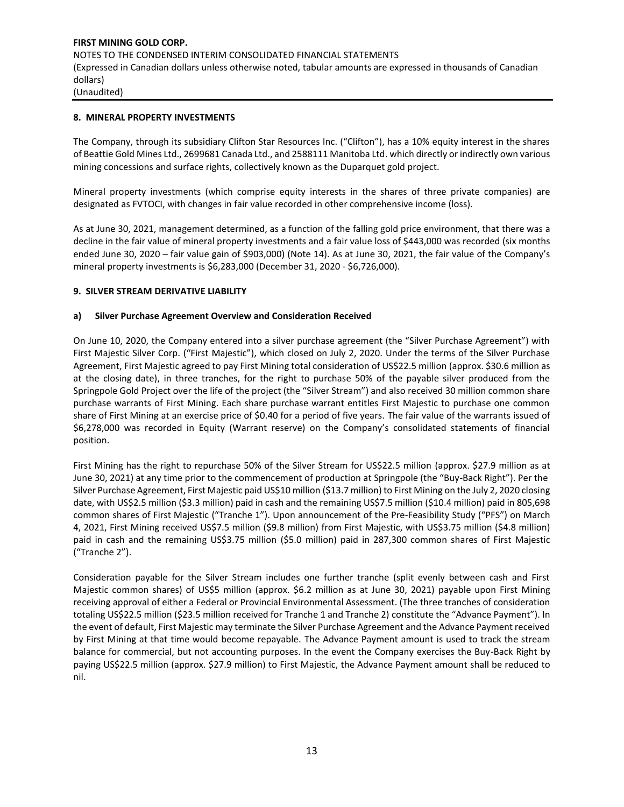#### **8. MINERAL PROPERTY INVESTMENTS**

The Company, through its subsidiary Clifton Star Resources Inc. ("Clifton"), has a 10% equity interest in the shares of Beattie Gold Mines Ltd., 2699681 Canada Ltd., and 2588111 Manitoba Ltd. which directly or indirectly own various mining concessions and surface rights, collectively known as the Duparquet gold project.

Mineral property investments (which comprise equity interests in the shares of three private companies) are designated as FVTOCI, with changes in fair value recorded in other comprehensive income (loss).

As at June 30, 2021, management determined, as a function of the falling gold price environment, that there was a decline in the fair value of mineral property investments and a fair value loss of \$443,000 was recorded (six months ended June 30, 2020 – fair value gain of \$903,000) (Note 14). As at June 30, 2021, the fair value of the Company's mineral property investments is \$6,283,000 (December 31, 2020 - \$6,726,000).

#### **9. SILVER STREAM DERIVATIVE LIABILITY**

#### **a) Silver Purchase Agreement Overview and Consideration Received**

On June 10, 2020, the Company entered into a silver purchase agreement (the "Silver Purchase Agreement") with First Majestic Silver Corp. ("First Majestic"), which closed on July 2, 2020. Under the terms of the Silver Purchase Agreement, First Majestic agreed to pay First Mining total consideration of US\$22.5 million (approx. \$30.6 million as at the closing date), in three tranches, for the right to purchase 50% of the payable silver produced from the Springpole Gold Project over the life of the project (the "Silver Stream") and also received 30 million common share purchase warrants of First Mining. Each share purchase warrant entitles First Majestic to purchase one common share of First Mining at an exercise price of \$0.40 for a period of five years. The fair value of the warrants issued of \$6,278,000 was recorded in Equity (Warrant reserve) on the Company's consolidated statements of financial position.

First Mining has the right to repurchase 50% of the Silver Stream for US\$22.5 million (approx. \$27.9 million as at June 30, 2021) at any time prior to the commencement of production at Springpole (the "Buy-Back Right"). Per the Silver Purchase Agreement, First Majestic paid US\$10 million (\$13.7 million) to First Mining on the July 2, 2020 closing date, with US\$2.5 million (\$3.3 million) paid in cash and the remaining US\$7.5 million (\$10.4 million) paid in 805,698 common shares of First Majestic ("Tranche 1"). Upon announcement of the Pre-Feasibility Study ("PFS") on March 4, 2021, First Mining received US\$7.5 million (\$9.8 million) from First Majestic, with US\$3.75 million (\$4.8 million) paid in cash and the remaining US\$3.75 million (\$5.0 million) paid in 287,300 common shares of First Majestic ("Tranche 2").

Consideration payable for the Silver Stream includes one further tranche (split evenly between cash and First Majestic common shares) of US\$5 million (approx. \$6.2 million as at June 30, 2021) payable upon First Mining receiving approval of either a Federal or Provincial Environmental Assessment. (The three tranches of consideration totaling US\$22.5 million (\$23.5 million received for Tranche 1 and Tranche 2) constitute the "Advance Payment"). In the event of default, First Majestic may terminate the Silver Purchase Agreement and the Advance Payment received by First Mining at that time would become repayable. The Advance Payment amount is used to track the stream balance for commercial, but not accounting purposes. In the event the Company exercises the Buy-Back Right by paying US\$22.5 million (approx. \$27.9 million) to First Majestic, the Advance Payment amount shall be reduced to nil.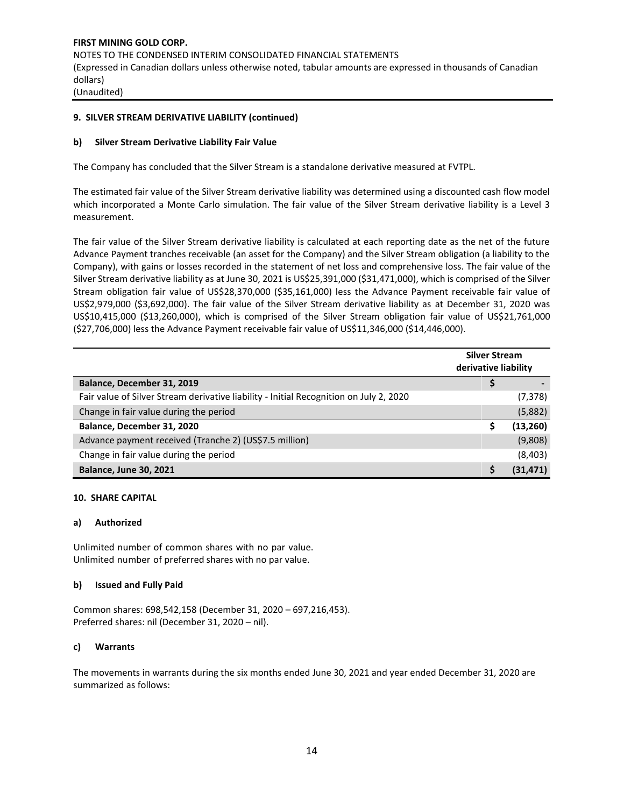#### **9. SILVER STREAM DERIVATIVE LIABILITY (continued)**

#### **b) Silver Stream Derivative Liability Fair Value**

The Company has concluded that the Silver Stream is a standalone derivative measured at FVTPL.

The estimated fair value of the Silver Stream derivative liability was determined using a discounted cash flow model which incorporated a Monte Carlo simulation. The fair value of the Silver Stream derivative liability is a Level 3 measurement.

The fair value of the Silver Stream derivative liability is calculated at each reporting date as the net of the future Advance Payment tranches receivable (an asset for the Company) and the Silver Stream obligation (a liability to the Company), with gains or losses recorded in the statement of net loss and comprehensive loss. The fair value of the Silver Stream derivative liability as at June 30, 2021 is US\$25,391,000 (\$31,471,000), which is comprised of the Silver Stream obligation fair value of US\$28,370,000 (\$35,161,000) less the Advance Payment receivable fair value of US\$2,979,000 (\$3,692,000). The fair value of the Silver Stream derivative liability as at December 31, 2020 was US\$10,415,000 (\$13,260,000), which is comprised of the Silver Stream obligation fair value of US\$21,761,000 (\$27,706,000) less the Advance Payment receivable fair value of US\$11,346,000 (\$14,446,000).

|                                                                                        | <b>Silver Stream</b><br>derivative liability |           |
|----------------------------------------------------------------------------------------|----------------------------------------------|-----------|
| Balance, December 31, 2019                                                             |                                              |           |
| Fair value of Silver Stream derivative liability - Initial Recognition on July 2, 2020 |                                              | (7, 378)  |
| Change in fair value during the period                                                 |                                              | (5,882)   |
| Balance, December 31, 2020                                                             | s                                            | (13, 260) |
| Advance payment received (Tranche 2) (US\$7.5 million)                                 |                                              | (9,808)   |
| Change in fair value during the period                                                 |                                              | (8,403)   |
| <b>Balance, June 30, 2021</b>                                                          |                                              | (31, 471) |

#### **10. SHARE CAPITAL**

#### **a) Authorized**

Unlimited number of common shares with no par value. Unlimited number of preferred shares with no par value.

#### **b) Issued and Fully Paid**

Common shares: 698,542,158 (December 31, 2020 – 697,216,453). Preferred shares: nil (December 31, 2020 – nil).

#### **c) Warrants**

The movements in warrants during the six months ended June 30, 2021 and year ended December 31, 2020 are summarized as follows: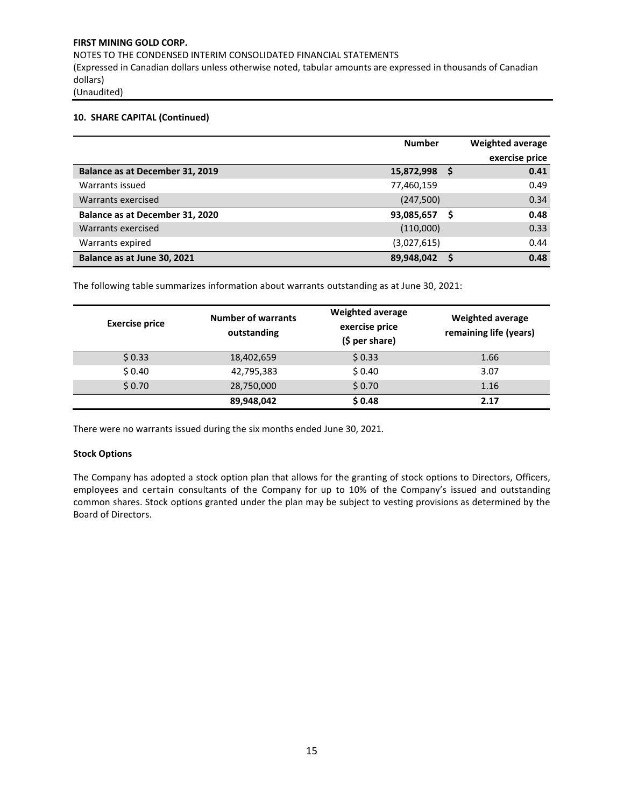NOTES TO THE CONDENSED INTERIM CONSOLIDATED FINANCIAL STATEMENTS (Expressed in Canadian dollars unless otherwise noted, tabular amounts are expressed in thousands of Canadian dollars) (Unaudited)

#### **10. SHARE CAPITAL (Continued)**

|                                 | <b>Number</b> |   | <b>Weighted average</b> |
|---------------------------------|---------------|---|-------------------------|
|                                 |               |   | exercise price          |
| Balance as at December 31, 2019 | 15,872,998    |   | 0.41                    |
| Warrants issued                 | 77,460,159    |   | 0.49                    |
| Warrants exercised              | (247, 500)    |   | 0.34                    |
| Balance as at December 31, 2020 | 93,085,657    | s | 0.48                    |
| Warrants exercised              | (110,000)     |   | 0.33                    |
| Warrants expired                | (3,027,615)   |   | 0.44                    |
| Balance as at June 30, 2021     | 89,948,042    |   | 0.48                    |

The following table summarizes information about warrants outstanding as at June 30, 2021:

| <b>Exercise price</b> | <b>Number of warrants</b><br>outstanding | <b>Weighted average</b><br>exercise price<br>$(5 per share)$ | <b>Weighted average</b><br>remaining life (years) |
|-----------------------|------------------------------------------|--------------------------------------------------------------|---------------------------------------------------|
| \$0.33                | 18,402,659                               | \$0.33                                                       | 1.66                                              |
| \$0.40                | 42,795,383                               | \$0.40                                                       | 3.07                                              |
| \$0.70                | 28,750,000                               | \$0.70                                                       | 1.16                                              |
|                       | 89,948,042                               | \$0.48                                                       | 2.17                                              |

There were no warrants issued during the six months ended June 30, 2021.

#### **Stock Options**

The Company has adopted a stock option plan that allows for the granting of stock options to Directors, Officers, employees and certain consultants of the Company for up to 10% of the Company's issued and outstanding common shares. Stock options granted under the plan may be subject to vesting provisions as determined by the Board of Directors.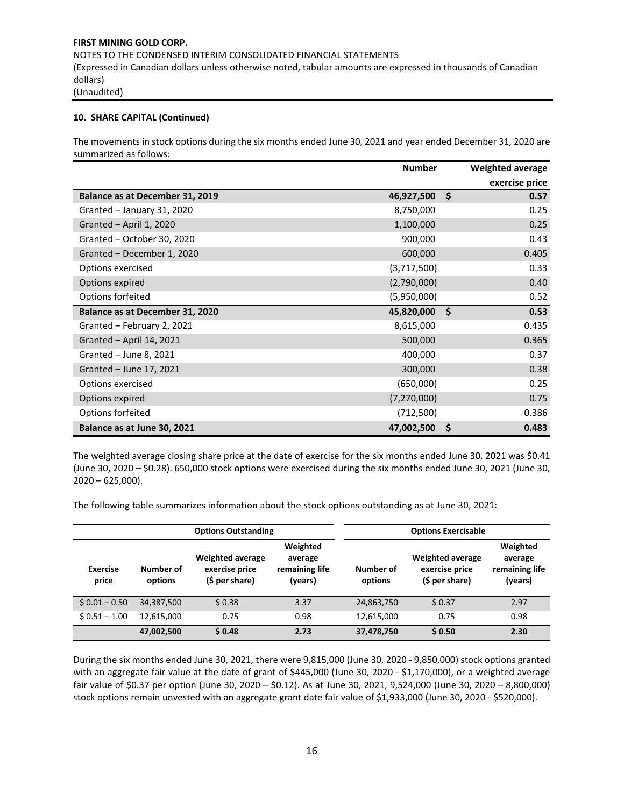#### **10. SHARE CAPITAL (Continued)**

The movements in stock options during the six months ended June 30, 2021 and year ended December 31, 2020 are summarized as follows:

|                                        | <b>Number</b> |    | Weighted average |
|----------------------------------------|---------------|----|------------------|
|                                        |               |    | exercise price   |
| <b>Balance as at December 31, 2019</b> | 46,927,500    | Ŝ. | 0.57             |
| Granted - January 31, 2020             | 8,750,000     |    | 0.25             |
| Granted - April 1, 2020                | 1,100,000     |    | 0.25             |
| Granted - October 30, 2020             | 900,000       |    | 0.43             |
| Granted - December 1, 2020             | 600,000       |    | 0.405            |
| Options exercised                      | (3,717,500)   |    | 0.33             |
| Options expired                        | (2,790,000)   |    | 0.40             |
| Options forfeited                      | (5,950,000)   |    | 0.52             |
| Balance as at December 31, 2020        | 45,820,000    | Ŝ. | 0.53             |
| Granted - February 2, 2021             | 8,615,000     |    | 0.435            |
| Granted - April 14, 2021               | 500,000       |    | 0.365            |
| Granted - June 8, 2021                 | 400,000       |    | 0.37             |
| Granted - June 17, 2021                | 300,000       |    | 0.38             |
| Options exercised                      | (650,000)     |    | 0.25             |
| Options expired                        | (7,270,000)   |    | 0.75             |
| Options forfeited                      | (712,500)     |    | 0.386            |
| Balance as at June 30, 2021            | 47,002,500    | \$ | 0.483            |

The weighted average closing share price at the date of exercise for the six months ended June 30, 2021 was \$0.41 (June 30, 2020 – \$0.28). 650,000 stock options were exercised during the six months ended June 30, 2021 (June 30,  $2020 - 625,000$ ).

The following table summarizes information about the stock options outstanding as at June 30, 2021:

|                          |                      | <b>Options Outstanding</b>                                  | <b>Options Exercisable</b>                       |                      |                                                             |                                                  |  |
|--------------------------|----------------------|-------------------------------------------------------------|--------------------------------------------------|----------------------|-------------------------------------------------------------|--------------------------------------------------|--|
| <b>Exercise</b><br>price | Number of<br>options | <b>Weighted average</b><br>exercise price<br>(\$ per share) | Weighted<br>average<br>remaining life<br>(years) | Number of<br>options | <b>Weighted average</b><br>exercise price<br>(\$ per share) | Weighted<br>average<br>remaining life<br>(years) |  |
| $$0.01 - 0.50$           | 34,387,500           | \$0.38                                                      | 3.37                                             | 24,863,750           | \$0.37                                                      | 2.97                                             |  |
| $$0.51 - 1.00$           | 12,615,000           | 0.75                                                        | 0.98                                             | 12,615,000           | 0.75                                                        | 0.98                                             |  |
|                          | 47,002,500           | \$0.48                                                      | 2.73                                             | 37,478,750           | \$0.50                                                      | 2.30                                             |  |

During the six months ended June 30, 2021, there were 9,815,000 (June 30, 2020 - 9,850,000) stock options granted with an aggregate fair value at the date of grant of \$445,000 (June 30, 2020 - \$1,170,000), or a weighted average fair value of \$0.37 per option (June 30, 2020 – \$0.12). As at June 30, 2021, 9,524,000 (June 30, 2020 – 8,800,000) stock options remain unvested with an aggregate grant date fair value of \$1,933,000 (June 30, 2020 - \$520,000).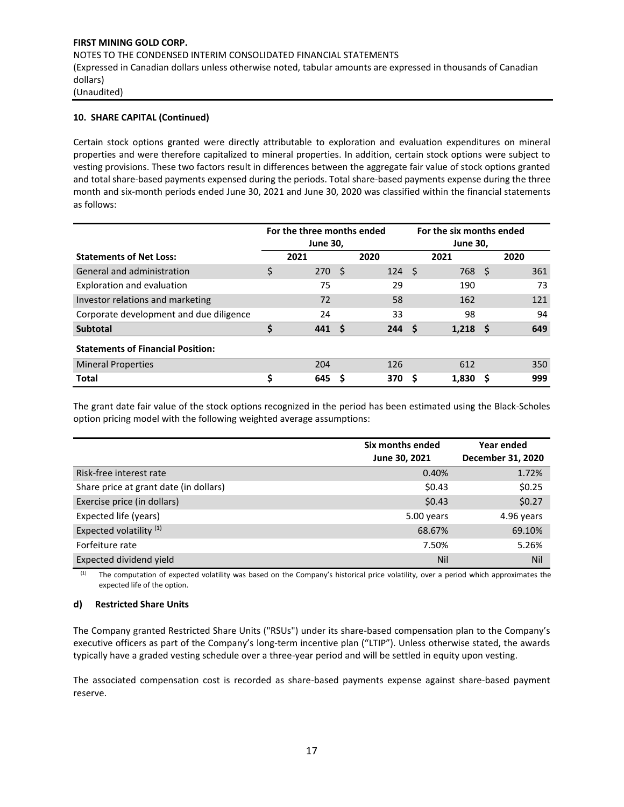#### **10. SHARE CAPITAL (Continued)**

Certain stock options granted were directly attributable to exploration and evaluation expenditures on mineral properties and were therefore capitalized to mineral properties. In addition, certain stock options were subject to vesting provisions. These two factors result in differences between the aggregate fair value of stock options granted and total share-based payments expensed during the periods. Total share-based payments expense during the three month and six-month periods ended June 30, 2021 and June 30, 2020 was classified within the financial statements as follows:

|                                          | For the three months ended |                         |      |      | For the six months ended |                         |    |      |
|------------------------------------------|----------------------------|-------------------------|------|------|--------------------------|-------------------------|----|------|
| <b>Statements of Net Loss:</b>           |                            | <b>June 30,</b><br>2021 |      | 2020 |                          | <b>June 30,</b><br>2021 |    | 2020 |
| General and administration               | \$                         | 270                     | - \$ | 124  | - \$                     | 768                     | -S | 361  |
| Exploration and evaluation               |                            | 75                      |      | 29   |                          | 190                     |    | 73   |
| Investor relations and marketing         |                            | 72                      |      | 58   |                          | 162                     |    | 121  |
| Corporate development and due diligence  |                            | 24                      |      | 33   |                          | 98                      |    | 94   |
| <b>Subtotal</b>                          | Ś                          | 441                     | - S  | 244S |                          | 1.218 <sub>5</sub>      |    | 649  |
| <b>Statements of Financial Position:</b> |                            |                         |      |      |                          |                         |    |      |
| <b>Mineral Properties</b>                |                            | 204                     |      | 126  |                          | 612                     |    | 350  |
| <b>Total</b>                             | S                          | 645                     | S    | 370  |                          | 1.830                   |    | 999  |

The grant date fair value of the stock options recognized in the period has been estimated using the Black-Scholes option pricing model with the following weighted average assumptions:

|                                        | Six months ended<br>June 30, 2021 | Year ended<br>December 31, 2020 |
|----------------------------------------|-----------------------------------|---------------------------------|
| Risk-free interest rate                | 0.40%                             | 1.72%                           |
| Share price at grant date (in dollars) | \$0.43                            | \$0.25                          |
| Exercise price (in dollars)            | \$0.43                            | \$0.27                          |
| Expected life (years)                  | 5.00 years                        | 4.96 years                      |
| Expected volatility <sup>(1)</sup>     | 68.67%                            | 69.10%                          |
| Forfeiture rate                        | 7.50%                             | 5.26%                           |
| Expected dividend yield                | Nil                               | Nil                             |

<sup>(1)</sup> The computation of expected volatility was based on the Company's historical price volatility, over a period which approximates the expected life of the option.

#### **d) Restricted Share Units**

The Company granted Restricted Share Units ("RSUs") under its share-based compensation plan to the Company's executive officers as part of the Company's long-term incentive plan ("LTIP"). Unless otherwise stated, the awards typically have a graded vesting schedule over a three-year period and will be settled in equity upon vesting.

The associated compensation cost is recorded as share-based payments expense against share-based payment reserve.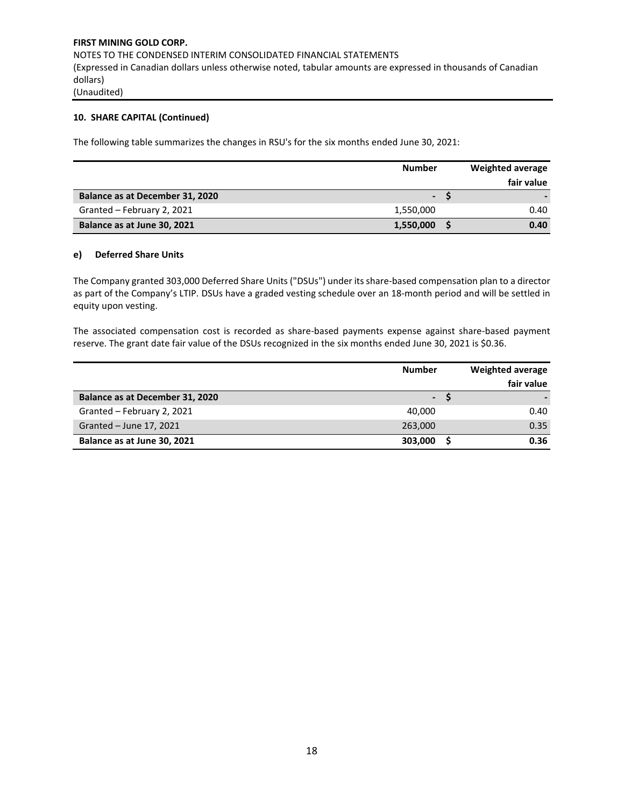#### **10. SHARE CAPITAL (Continued)**

The following table summarizes the changes in RSU's for the six months ended June 30, 2021:

|                                 | <b>Number</b>  | Weighted average |
|---------------------------------|----------------|------------------|
|                                 |                | fair value       |
| Balance as at December 31, 2020 | $\blacksquare$ |                  |
| Granted - February 2, 2021      | 1,550,000      | 0.40             |
| Balance as at June 30, 2021     | 1,550,000      | 0.40             |

#### **e) Deferred Share Units**

The Company granted 303,000 Deferred Share Units ("DSUs") under its share-based compensation plan to a director as part of the Company's LTIP. DSUs have a graded vesting schedule over an 18-month period and will be settled in equity upon vesting.

The associated compensation cost is recorded as share-based payments expense against share-based payment reserve. The grant date fair value of the DSUs recognized in the six months ended June 30, 2021 is \$0.36.

|                                 | <b>Number</b>            | <b>Weighted average</b> |
|---------------------------------|--------------------------|-------------------------|
|                                 |                          | fair value              |
| Balance as at December 31, 2020 | $\overline{\phantom{a}}$ |                         |
| Granted - February 2, 2021      | 40.000                   | 0.40                    |
| Granted - June 17, 2021         | 263,000                  | 0.35                    |
| Balance as at June 30, 2021     | 303,000                  | 0.36                    |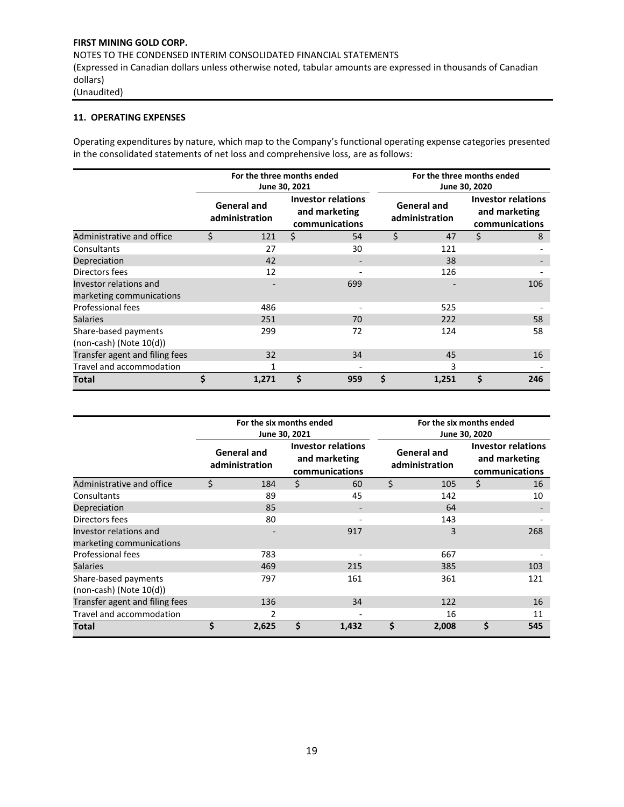# **11. OPERATING EXPENSES**

Operating expenditures by nature, which map to the Company's functional operating expense categories presented in the consolidated statements of net loss and comprehensive loss, are as follows:

|                                                      | For the three months ended<br>June 30, 2021 |                                      |    |                                                       |    | For the three months ended<br>June 30, 2020 |    |                                                              |  |  |
|------------------------------------------------------|---------------------------------------------|--------------------------------------|----|-------------------------------------------------------|----|---------------------------------------------|----|--------------------------------------------------------------|--|--|
|                                                      |                                             | <b>General and</b><br>administration |    | Investor relations<br>and marketing<br>communications |    | <b>General and</b><br>administration        |    | <b>Investor relations</b><br>and marketing<br>communications |  |  |
| Administrative and office                            | Ś.                                          | 121                                  | \$ | 54                                                    | \$ | 47                                          | \$ | 8                                                            |  |  |
| Consultants                                          |                                             | 27                                   |    | 30                                                    |    | 121                                         |    |                                                              |  |  |
| Depreciation                                         |                                             | 42                                   |    |                                                       |    | 38                                          |    |                                                              |  |  |
| Directors fees                                       |                                             | 12                                   |    |                                                       |    | 126                                         |    |                                                              |  |  |
| Investor relations and<br>marketing communications   |                                             |                                      |    | 699                                                   |    |                                             |    | 106                                                          |  |  |
| Professional fees                                    |                                             | 486                                  |    |                                                       |    | 525                                         |    |                                                              |  |  |
| <b>Salaries</b>                                      |                                             | 251                                  |    | 70                                                    |    | 222                                         |    | 58                                                           |  |  |
| Share-based payments<br>$(non-cash)$ (Note $10(d)$ ) |                                             | 299                                  |    | 72                                                    |    | 124                                         |    | 58                                                           |  |  |
| Transfer agent and filing fees                       |                                             | 32                                   |    | 34                                                    |    | 45                                          |    | 16                                                           |  |  |
| Travel and accommodation                             |                                             |                                      |    |                                                       |    | 3                                           |    |                                                              |  |  |
| Total                                                | \$                                          | 1,271                                | \$ | 959                                                   | \$ | 1,251                                       | \$ | 246                                                          |  |  |

|                                                      | For the six months ended<br>June 30, 2021 |                                      |    |                                                              |    | For the six months ended<br>June 30, 2020 |    |                                                              |  |  |
|------------------------------------------------------|-------------------------------------------|--------------------------------------|----|--------------------------------------------------------------|----|-------------------------------------------|----|--------------------------------------------------------------|--|--|
|                                                      |                                           | <b>General and</b><br>administration |    | <b>Investor relations</b><br>and marketing<br>communications |    | <b>General and</b><br>administration      |    | <b>Investor relations</b><br>and marketing<br>communications |  |  |
| Administrative and office                            | \$                                        | 184                                  | \$ | 60                                                           | \$ | 105                                       | \$ | 16                                                           |  |  |
| Consultants                                          |                                           | 89                                   |    | 45                                                           |    | 142                                       |    | 10                                                           |  |  |
| Depreciation                                         |                                           | 85                                   |    |                                                              |    | 64                                        |    |                                                              |  |  |
| Directors fees                                       |                                           | 80                                   |    |                                                              |    | 143                                       |    |                                                              |  |  |
| Investor relations and<br>marketing communications   |                                           |                                      |    | 917                                                          |    | 3                                         |    | 268                                                          |  |  |
| Professional fees                                    |                                           | 783                                  |    |                                                              |    | 667                                       |    |                                                              |  |  |
| <b>Salaries</b>                                      |                                           | 469                                  |    | 215                                                          |    | 385                                       |    | 103                                                          |  |  |
| Share-based payments<br>$(non-cash)$ (Note $10(d)$ ) |                                           | 797                                  |    | 161                                                          |    | 361                                       |    | 121                                                          |  |  |
| Transfer agent and filing fees                       |                                           | 136                                  |    | 34                                                           |    | 122                                       |    | 16                                                           |  |  |
| Travel and accommodation                             |                                           |                                      |    |                                                              |    | 16                                        |    | 11                                                           |  |  |
| Total                                                | \$                                        | 2,625                                | \$ | 1,432                                                        | \$ | 2,008                                     | \$ | 545                                                          |  |  |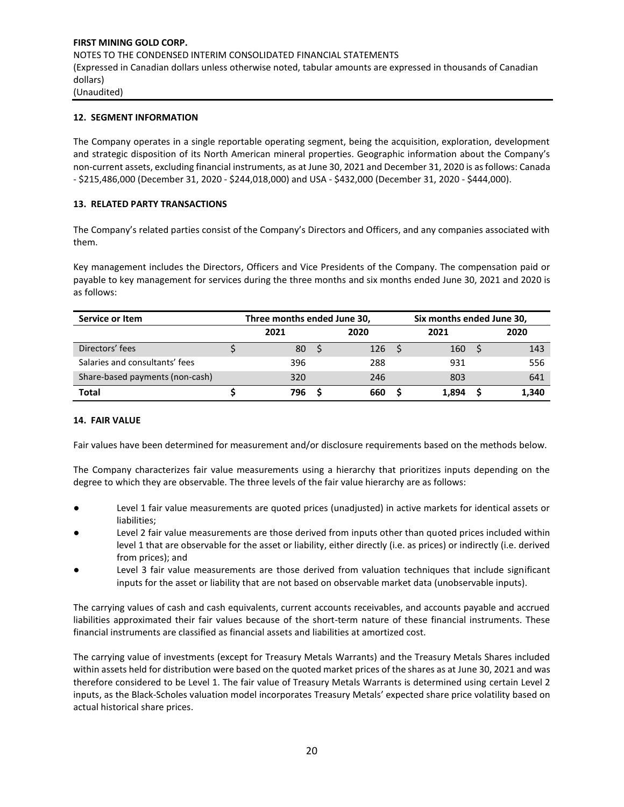# **12. SEGMENT INFORMATION**

The Company operates in a single reportable operating segment, being the acquisition, exploration, development and strategic disposition of its North American mineral properties. Geographic information about the Company's non-current assets, excluding financial instruments, as at June 30, 2021 and December 31, 2020 is as follows: Canada - \$215,486,000 (December 31, 2020 - \$244,018,000) and USA - \$432,000 (December 31, 2020 - \$444,000).

#### **13. RELATED PARTY TRANSACTIONS**

The Company's related parties consist of the Company's Directors and Officers, and any companies associated with them.

Key management includes the Directors, Officers and Vice Presidents of the Company. The compensation paid or payable to key management for services during the three months and six months ended June 30, 2021 and 2020 is as follows:

| Service or Item                 | Three months ended June 30, |  |      |  | Six months ended June 30, |  |       |  |
|---------------------------------|-----------------------------|--|------|--|---------------------------|--|-------|--|
|                                 | 2021                        |  | 2020 |  | 2021                      |  | 2020  |  |
| Directors' fees                 | 80                          |  | 126  |  | 160                       |  | 143   |  |
| Salaries and consultants' fees  | 396                         |  | 288  |  | 931                       |  | 556   |  |
| Share-based payments (non-cash) | 320                         |  | 246  |  | 803                       |  | 641   |  |
| Total                           | 796                         |  | 660  |  | 1.894                     |  | 1,340 |  |

#### **14. FAIR VALUE**

Fair values have been determined for measurement and/or disclosure requirements based on the methods below.

The Company characterizes fair value measurements using a hierarchy that prioritizes inputs depending on the degree to which they are observable. The three levels of the fair value hierarchy are as follows:

- Level 1 fair value measurements are quoted prices (unadjusted) in active markets for identical assets or liabilities;
- Level 2 fair value measurements are those derived from inputs other than quoted prices included within level 1 that are observable for the asset or liability, either directly (i.e. as prices) or indirectly (i.e. derived from prices); and
- Level 3 fair value measurements are those derived from valuation techniques that include significant inputs for the asset or liability that are not based on observable market data (unobservable inputs).

The carrying values of cash and cash equivalents, current accounts receivables, and accounts payable and accrued liabilities approximated their fair values because of the short-term nature of these financial instruments. These financial instruments are classified as financial assets and liabilities at amortized cost.

The carrying value of investments (except for Treasury Metals Warrants) and the Treasury Metals Shares included within assets held for distribution were based on the quoted market prices of the shares as at June 30, 2021 and was therefore considered to be Level 1. The fair value of Treasury Metals Warrants is determined using certain Level 2 inputs, as the Black-Scholes valuation model incorporates Treasury Metals' expected share price volatility based on actual historical share prices.